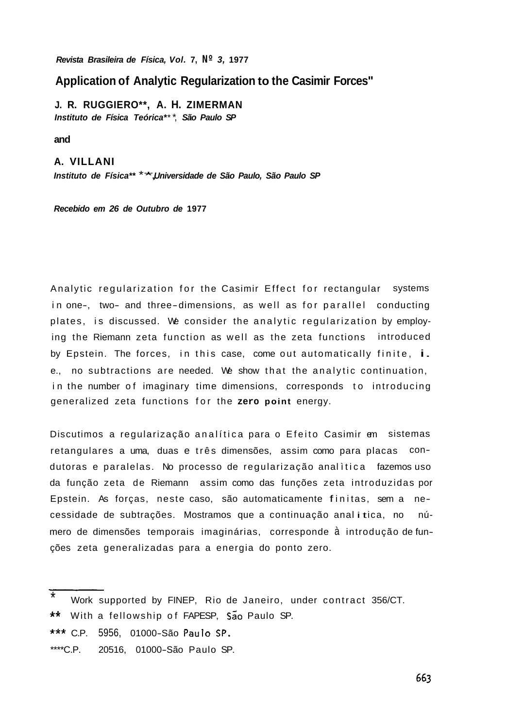**Revista Brasileira de** *Física,* **Vol. 7, Nº 3, 1977** 

## **Application of Analytic Regularization to the Casimir Forces"**

**J. R. RUGGIERO\*\*, A. H. ZIMERMAN Instituto de** *Física Teórica\**\* \*, **São Paulo SP** 

**and** 

**A. VILLANI Instituto de** *Física\*\** \*\*,**Universidade de São Paulo, São Paulo SP** 

**Recebido em 26 de Outubro de 1977** 

Analytic regularization for the Casimir Effect for rectangular systems in one-, two- and three-dimensions, as well as for parallel conducting plates, is discussed. We consider the analytic regularization by employing the Riemann zeta function as well as the zeta functions introduced by Epstein. The forces, in this case, come out automatically finite, i. e., no subtractions are needed. We show that the analytic continuation, in the number of imaginary time dimensions, corresponds to introducing generalized zeta functions for the **zero point** energy.

Discutimos a regularização analítica para o Efeito Casimir em sistemas retangulares a uma, duas e três dimensões, assim como para placas condutoras e paralelas. No processo de regularização anal ìtica fazemos uso da função zeta de Riemann assim como das funções zeta introduzidas por Epstein. As forças, neste caso, são automaticamente f ini tas, sem a necessidade de subtrações. Mostramos que a continuação anal itica, no número de dimensões temporais imaginárias, corresponde <sup>à</sup> introdução de funções zeta generalizadas para a energia do ponto zero.

- \* Work supported by FINEP, Rio de Janeiro, under contract 356/CT.
- \*\* With a fellowship of FAPESP, São Paulo SP.
- \*\*\* C.P. 5956, 01000-São Paulo SP.
- \*\*\*\*C.P. 20516, 01000-São Paulo SP.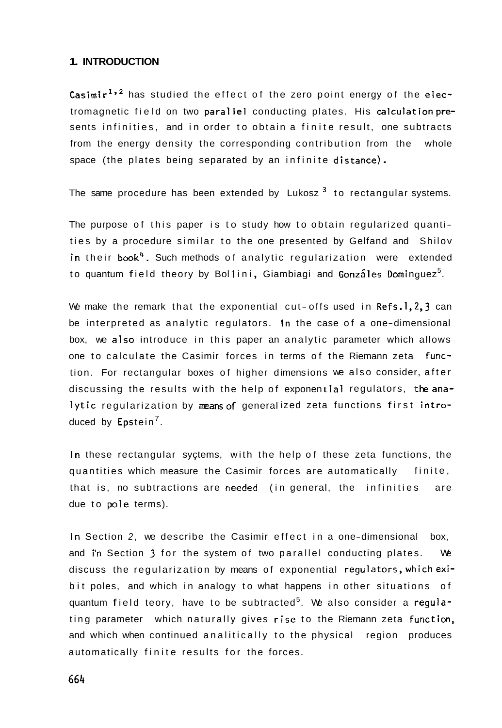### **1. INTRODUCTION**

**Casimir<sup>1,2</sup>** has studied the effect of the zero point energy of the electromagnetic field on two parallel conducting plates. His calculationpresents infinities, and in order to obtain a finite result, one subtracts from the energy density the corresponding contribution from the whole space (the plates being separated by an infinite distance).

The same procedure has been extended by Lukosz<sup>3</sup> to rectangular systems.

The purpose of this paper is to study how to obtain regularized quantities by a procedure similar to the one presented by Gelfand and Shilov in their book<sup>4</sup>. Such methods of analytic regularization were extended to quantum field theory by Bollini, Giambiagi and Gonzáles Dominguez<sup>5</sup>.

We make the remark that the exponential cut-offs used in Refs.1,2,3 can be interpreted as analytic regulators. In the case of a one-dimensional box, we also introduce in this paper an analytic parameter which allows one to calculate the Casimir forces in terms of the Riemann zeta function. For rectangular boxes of higher dimensions we also consider, after discussing the results with the help of exponent<mark>ial r</mark>egulators, t**he ana**lytic regularization by means of generalized zeta functions first <mark>intro</mark>– duced by Epstein<sup>7</sup>.

In these rectangular syçtems, with the help of these zeta functions, the quantities which measure the Casimir forces are automatically finite, that is, no subtractions are needed (in general, the infinities are due to pole terms).

In Section 2, we describe the Casimir effect in a one-dimensional box, and in Section **3** for the system of two parallel conducting plates. We discuss the regularization by means of exponential requlators, which exibit poles, and which in analogy to what happens in other situations of quantum field teory, have to be subtracted<sup>5</sup>. We also consider a regulating parameter which naturally gives rise to the Riemann zeta function, and which when continued analitically to the physical region produces automatically finite results for the forces.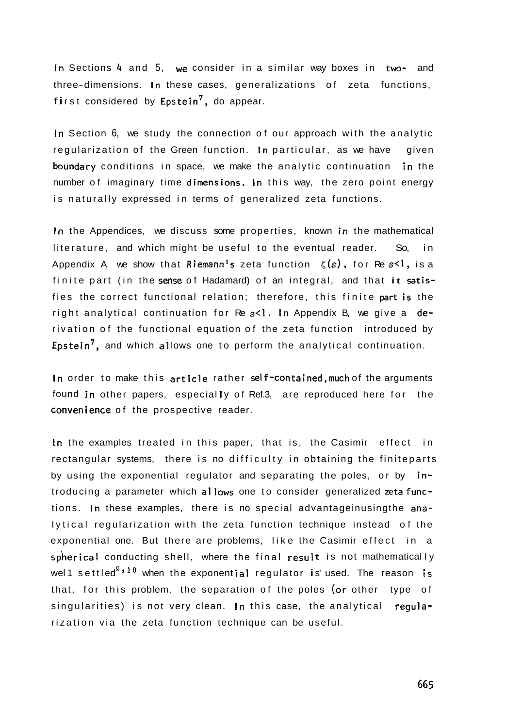In Sections 4 and 5, we consider in a similar way boxes in two- and three-dimensions. In these cases, generalizations of zeta functions, first considered by Epstein<sup>7</sup>, do appear.

In Section 6, we study the connection of our approach with the analytic regularization of the Green function. In particular, as we have given boundary conditions in space, we make the analytic continuation in the number of imaginary time dimensions. In this way, the zero point energy is naturally expressed in terms of generalized zeta functions.

In the Appendices, we discuss some properties, known in the mathematical literature, and which might be useful to the eventual reader. So, in Appendix A, we show that Riemann's zeta function  $\zeta(s)$ , for Re s<1, is a finite part (in the sense of Hadamard) of an integral, and that it satisfies the correct functional relation; therefore, this finite partis the right analytical continuation for Re  $s<1$ . In Appendix B, we give a derivation of the functional equation of the zeta function introduced by Epstein<sup>7</sup>, and which allows one to perform the analytical continuation.

In order to make this article rather self-contained, much of the arguments found in other papers, especially of Ref.3, are reproduced here for the convenience of the prospective reader.

In the examples treated in this paper, that is, the Casimir effect in rectangular systems, there is no difficulty in obtaining the finiteparts by using the exponential regulator and separating the poles, or by introducing a parameter which allows one to consider generalized zeta functions. In these examples, there is no special advantageinusingthe analytical regularization with the zeta function technique instead of the exponential one. But there are problems, like the Casimir effect in a spherical conducting shell, where the final result is not mathematically wel1 settled<sup>g,10</sup> when the exponential regulator is'used. The reason is that, for this problem, the separation of the poles (or other type of singularities) is not very clean. In this case, the analytical reqularization via the zeta function technique can be useful.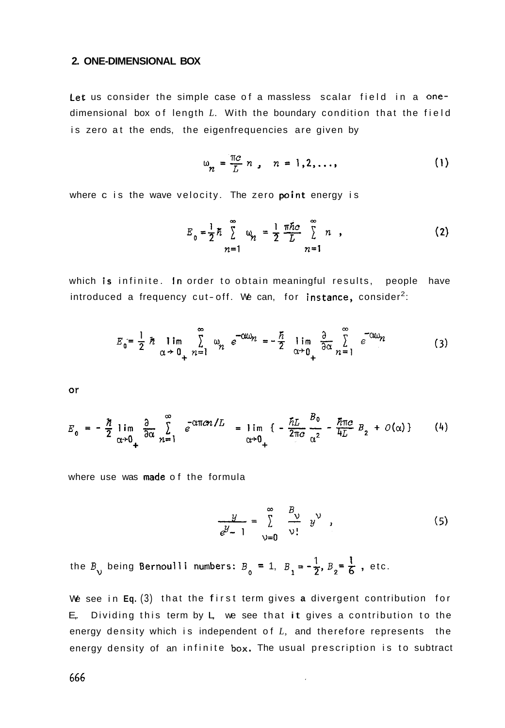### **2. ONE-DIMENSIONAL BOX**

Let us consider the simple case of a massless scalar field in a onedimensional box of length *L.* With the boundary condition that the field is zero at the ends, the eigenfrequencies are given by

$$
\omega_n = \frac{\pi c}{L} n, \quad n = 1, 2, \dots,
$$
 (1)

where c is the wave velocity. The zero **point** energy is

$$
E_0 = \frac{1}{2} \hbar \sum_{n=1}^{\infty} \omega_n = \frac{1}{2} \frac{\pi \hbar c}{L} \sum_{n=1}^{\infty} n , \qquad (2)
$$

which is infinite. In order to obtain meaningful results, people have introduced a frequency cut-off. We can, for instance, consider<sup>2</sup>:

$$
E_0 = \frac{1}{2} \hbar \lim_{\alpha \to 0_+} \sum_{n=1}^{\infty} \omega_n e^{-\alpha \omega_n} = -\frac{\hbar}{2} \lim_{\alpha \to 0_+} \frac{\partial}{\partial \alpha} \sum_{n=1}^{\infty} e^{-\alpha \omega_n}
$$
 (3)

or

$$
E_0 = -\frac{\hbar}{2} \lim_{\alpha \to 0_+} \frac{\partial}{\partial \alpha} \sum_{n=1}^{\infty} e^{-\alpha \pi c n/L} = \lim_{\alpha \to 0_+} \left\{ -\frac{\hbar L}{2 \pi c} \frac{B_0}{\alpha^2} - \frac{\hbar \pi c}{4 L} B_2 + O(\alpha) \right\} \tag{4}
$$

where use was made of the formula

$$
\frac{y}{e^y-1}=\sum_{v=0}^{\infty}\frac{B_v}{v!}y^v,
$$
 (5)

the  $B_v$  being Bernoulli numbers:  $B_o = 1$ ,  $B_1 = -\frac{1}{2}$ ,  $B_2 = \frac{1}{6}$ , etc.

We see in **Eq.** (3) that the f irst term gives **a** divergent contribution for  $E<sub>r</sub>$ . Dividing this term by  $L<sub>r</sub>$  we see that it gives a contribution to the energy density which is independent of *L,* and therefore represents the energy density of an infinite box. The usual prescription is to subtract

 $\overline{\phantom{a}}$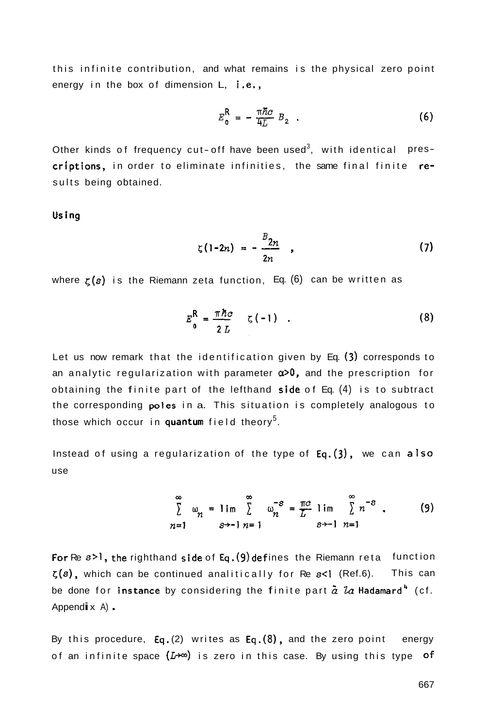this infinite contribution, and what remains is the physical zero point energy in the box of dimension L, i.e.,

$$
E_0^{\mathsf{R}} = -\frac{\pi \hbar c}{4L} B_2 \quad . \tag{6}
$$

Other kinds of frequency cut-off have been used<sup>3</sup>, with identical prescriptions, in order to eliminate infinities, the same final finite results being obtained.

Usina

$$
\zeta(1-2n) = -\frac{B_{2n}}{2n} \qquad (7)
$$

where  $\zeta(s)$  is the Riemann zeta function, Eq.  $(6)$  can be written as

$$
E_0^{\mathsf{R}} = \frac{\pi \hbar c}{2 L} \quad \zeta(-1) \quad . \tag{8}
$$

Let us now remark that the identif ication given by Eq. **(3)** corresponds to an analytic regularization with parameter **a>O,** and the prescription for obtaining the finite part of the lefthand side of Eq.  $(4)$  is to subtract the corresponding potes in a. This situation is completely analogous to those which occur in quantum field theory<sup>5</sup>.

Instead of using a regularization of the type of  $Eq.(3)$ , we can also use

$$
\sum_{n=1}^{\infty} \omega_n = \lim_{s \to -1} \sum_{n=1}^{\infty} \omega_n^{-s} = \frac{\pi c}{L} \lim_{s \to -1} \sum_{n=1}^{\infty} n^{-s} \tag{9}
$$

For Re  $s > 1$ , the righthand side of Eq. (9) defines the Riemann reta function  $\zeta(s)$ , which can be continued analitically for Re  $s$ <1 (Ref.6). This can be done for instance by considering the finite part  $\tilde{a}$  La Hadamard<sup>4</sup> (cf. Append  $\mathbf{i} \times \mathbf{A}$ ).

By this procedure, Eq. (2) writes as Eq. (8), and the zero point energy of an infinite space  $(L^{+\infty})$  is zero in this case. By using this type of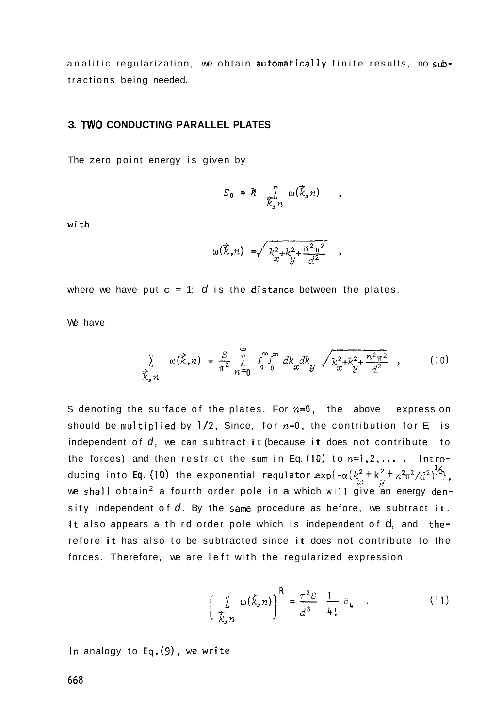analitic regularization, we obtain automatically finite results, no subtractions being needed.

### **3. TWO CONDUCTING PARALLEL PLATES**

The zero point energy is given by

$$
E_0 = \hbar \sum_{\vec{k}, n} \omega(\vec{k}, n)
$$

wi th

$$
\omega(\vec{k},n) = \sqrt{k_x^2 + k_y^2 + \frac{n^2 \pi^2}{d^2}}
$$

where we have put  $c = 1$ ;  $d$  is the distance between the plates.

We have

$$
\sum_{\vec{k},n} \omega(\vec{k},n) = \frac{S}{\pi^2} \sum_{n=0}^{\infty} \int_{0}^{\infty} \int_{0}^{\infty} dk_x dk_y \sqrt{k_x^2 + k_y^2 + \frac{n^2 \pi^2}{d^2}} \quad , \tag{10}
$$

S denoting the surface of the plates. For  $n=0$ , the above expression should be multiplied by  $1/2$ . Since, for  $n=0$ , the contribution for E is independent of  $d$ , we can subtract it (because it does not contribute to the forces) and then restrict the sum in Eq. (10) to  $n=1,2,...$  . Introducing into **Eq.** (10) the exponential regulator  $\exp\{-\alpha (k_x^2 + k_y^2 + n^2\pi^2/d^2)^{1/2}\},$ we shall obtain<sup>2</sup> a fourth order pole in a which will give an energy density independent of  $d$ . By the same procedure as before, we subtract it. It also appears a third order pole which is independent of d, and therefore it has also to be subtracted since it does not contribute to the forces. Therefore, we are left with the regularized expression

$$
\left(\sum_{\vec{k},n} \omega(\vec{k},n)\right)^{\mathsf{R}} = \frac{\pi^2 S}{d^3} \frac{1}{4!} B_4 \quad . \tag{11}
$$

In analogy to Eq.(9), we write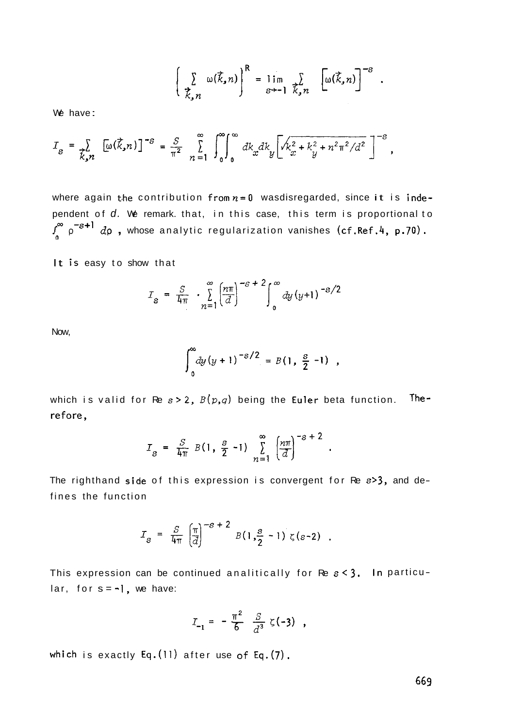$$
\left(\sum_{\vec{k},n}\omega(\vec{k},n)\right)^{\mathsf{R}}=\lim_{\varepsilon\to-1}\sum_{\vec{k},n}\left[\omega(\vec{k},n)\right]^{-\mathsf{s}}.
$$

We have:

$$
I_{s} = \sum_{k,n} [\omega(\vec{k}, n)]^{-s} = \frac{s}{\pi^{2}} \sum_{n=1}^{\infty} \int_{0}^{\infty} \int_{0}^{\infty} dk_{x} dk_{y} \left[ \sqrt{k_{x}^{2} + k_{y}^{2} + n^{2} \pi^{2}} / d^{2} \right]^{-s},
$$

where again the contribution from  $n=0$  wasdisregarded, since it is independent of d. We remark. that, in this case, this term is proportional to  $\int_{0}^{\infty} \rho^{-s+1} d\rho$ , whose analytic regularization vanishes (cf.Ref.4, p.70).

It is easy to show that

$$
I_s = \frac{S}{4\pi} \cdot \sum_{n=1}^{\infty} \left(\frac{n\pi}{d}\right)^{-s+2} \int_0^{\infty} dy (y+1)^{-s/2}
$$

Now,

$$
\int_0^\infty dy\,(y+1)^{-S/2} = B(1,\frac{S}{2}-1) ,
$$

which is valid for Re  $s > 2$ ,  $B(p,q)$  being the Euler beta function. Therefore,

$$
I_{s} = \frac{S}{4\pi} B(1, \frac{s}{2} - 1) \sum_{n=1}^{\infty} \left(\frac{n\pi}{d}\right)^{-s+2}.
$$

The righthand side of this expression is convergent for Re **s>3,** and defines the function

$$
I_{s} = \frac{S}{4\pi} \left(\frac{\pi}{d}\right)^{-s+2} B(1, \frac{s}{2} - 1) \zeta(s-2) .
$$

This expression can be continued analitically for Re **s<3.** In particu  $lar, for s = -1, we have:$ 

$$
I_{-1} = -\frac{\pi^2}{6} \frac{S}{d^3} \zeta(-3) ,
$$

which is exactly Eq. (11) after use of Eq. (7).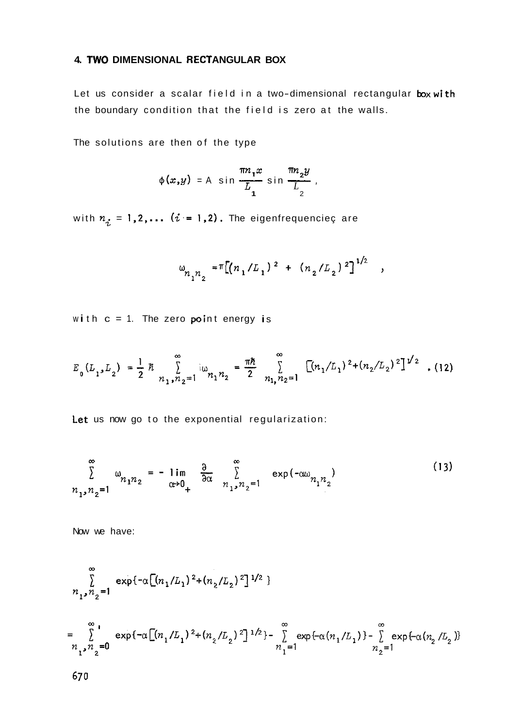# 4. TWO DIMENSIONAL RECTANGULAR BOX

Let us consider a scalar field in a two-dimensional rectangular box with the boundary condition that the field is zero at the walls.

The solutions are then of the type

$$
\phi(x,y) = A \sin \frac{\pi n_1 x}{L_1} \sin \frac{\pi n_2 y}{L_2},
$$

with  $n_i = 1, 2, \ldots$   $(i = 1, 2)$ . The eigenfrequenciec are

$$
w_{n_1 n_2} = \pi [(n_1/L_1)^2 + (n_2/L_2)^2]^{1/2}
$$
,

with  $c = 1$ . The zero point energy is

$$
E_0(L_1, L_2) = \frac{1}{2} \hbar \sum_{n_1, n_2=1}^{\infty} i \omega_{n_1 n_2} = \frac{\pi \hbar}{2} \sum_{n_1, n_2=1}^{\infty} \left[ (n_1/L_1)^2 + (n_2/L_2)^2 \right]^{1/2}
$$
 (12)

Let us now go to the exponential regularization:

$$
\sum_{n_{1},n_{2}=1}^{\infty} \omega_{n_{1}n_{2}} = -\lim_{\alpha \to 0_{+}} \frac{\partial}{\partial \alpha} \sum_{n_{1},n_{2}=1}^{\infty} \exp(-\alpha \omega_{n_{1}n_{2}})
$$
(13)

Now we have:

$$
\sum_{n_1, n_2=1}^{\infty} \exp\{-\alpha \left[ (n_1/L_1)^2 + (n_2/L_2)^2 \right]^{1/2} \}
$$
  
\n
$$
= \sum_{n_1, n_2=0}^{\infty} \exp\{-\alpha \left[ (n_1/L_1)^2 + (n_2/L_2)^2 \right]^{1/2} \} - \sum_{n_1=1}^{\infty} \exp\{-\alpha (n_1/L_1)\} - \sum_{n_2=1}^{\infty} \exp\{-\alpha (n_2/L_2)\}
$$
  
\n670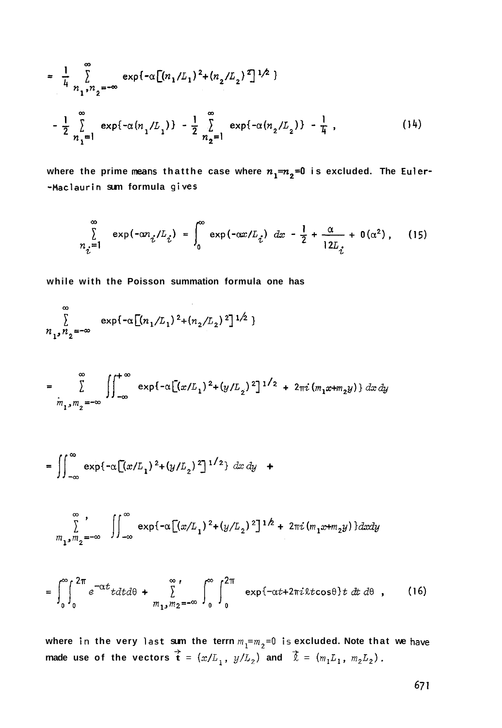$$
= \frac{1}{4} \sum_{n_1, n_2 = -\infty}^{\infty} \exp\{-\alpha \left[ (n_1/L_1)^2 + (n_2/L_2)^2 \right]^{1/2} \}
$$
  

$$
- \frac{1}{2} \sum_{n_1=1}^{\infty} \exp\{-\alpha (n_1/L_1)\} - \frac{1}{2} \sum_{n_2=1}^{\infty} \exp\{-\alpha (n_2/L_2)\} - \frac{1}{4},
$$
 (14)

where the prime means thatthe case where  $n_1=n_2=0$  is excluded. The Euler-**-Maclaurin sum formula gives** 

$$
\sum_{n_i=1}^{\infty} \exp(-\alpha n_i/L_i) = \int_0^{\infty} \exp(-\alpha x/L_i) dx - \frac{1}{2} + \frac{\alpha}{12L_i} + 0(\alpha^2), \quad (15)
$$

**while with the Poisson summation formula one has** 

$$
\sum_{n_1, n_2 = -\infty}^{\infty} \exp\{-\alpha \left[ (n_1/L_1)^2 + (n_2/L_2)^2 \right]^{1/2} \}
$$

$$
= \sum_{m_1, m_2 = -\infty}^{\infty} \iint_{-\infty}^{+\infty} \exp\{-\alpha \left[ (x/L_1)^2 + (y/L_2)^2 \right]^{1/2} + 2\pi i (m_1 x + m_2 y) \} dx dy
$$

$$
= \iint_{-\infty}^{\infty} \exp\{-\alpha [(x/L_1)^2 + (y/L_2)^2]^{1/2}\} dx dy +
$$

$$
\sum_{m_1,m_2=-\infty}^{\infty} \iint_{-\infty}^{\infty} \exp\{-\alpha \left[ (x/L_1)^2 + (y/L_2)^2 \right]^{1/2} + 2\pi i (m_1x + m_2y) \} dx dy
$$

$$
= \int_0^{\infty} \int_0^{2\pi} e^{-\alpha t} t dt d\theta + \sum_{m_1, m_2 = -\infty}^{\infty} \int_0^{\infty} \int_0^{2\pi} \exp\{-\alpha t + 2\pi i \lambda t \cos\theta\} t dt d\theta , \qquad (16)
$$

where in the very last sum the terrn  $m_1 = m_2 = 0$  is excluded. Note that we have <br>rnade use of the vectors  $\vec{\textbf{t}} = (x/L_1, y/L_2)$  and  $\vec{\&} = (m_1 L_1, m_2 L_2)$ .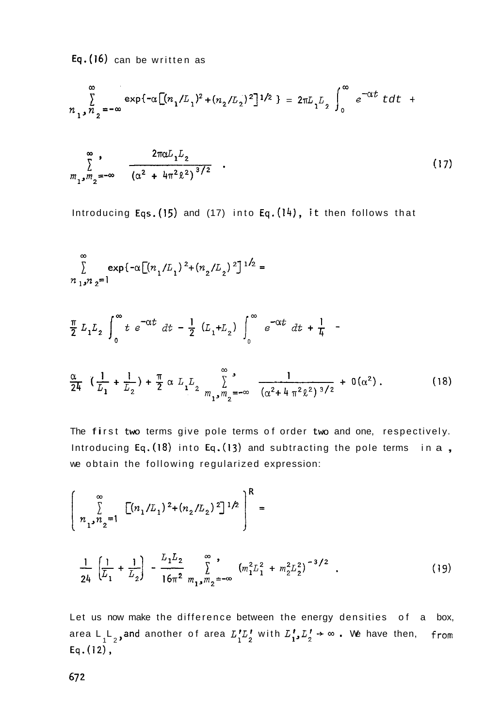Eq.(16) can be written as

$$
\sum_{n_1, n_2=-\infty}^{\infty} \exp\{-\alpha \left[ (n_1/L_1)^2 + (n_2/L_2)^2 \right]^{1/2} \} = 2\pi L_1 L_2 \int_0^{\infty} e^{-\alpha t} t dt +
$$

$$
\sum_{m_1, m_2 = -\infty}^{\infty} \frac{2\pi a L_1 L_2}{\left(\alpha^2 + 4\pi^2 \ell^2\right)^{3/2}} \quad . \tag{17}
$$

Introducing Eqs.(15) and (17) into Eq.(14), it then follows that

$$
\sum_{n_{1},n_{2}=1}^{\infty} \exp\{-\alpha \left[ (n_{1}/L_{1})^{2} + (n_{2}/L_{2})^{2} \right]^{1/2} =
$$
\n
$$
\frac{\pi}{2} L_{1}L_{2} \int_{0}^{\infty} t e^{-\alpha t} dt - \frac{1}{2} (L_{1}+L_{2}) \int_{0}^{\infty} e^{-\alpha t} dt + \frac{1}{4} - \frac{\alpha}{2} L_{1}L_{2} \int_{0}^{\infty} e^{-\alpha t} dt + \frac{1}{4} - \frac{\alpha}{2} L_{1}L_{2} + \frac{1}{2} \int_{0}^{\infty} t e^{-\alpha t} dt + \frac{1}{2} \int_{0}^{\infty} e^{-\alpha t} dt + \frac{1}{4} - \frac{\alpha}{2} L_{1}L_{2} + \frac{\alpha}{2} L_{1}L_{2} + \frac{\alpha}{2} L_{1}L_{2} + \frac{\alpha}{2} L_{1}L_{2} + \frac{\alpha}{2} L_{1}L_{2} + \frac{\alpha}{2} L_{1}L_{2} + \frac{\alpha}{2} L_{1}L_{2} + \frac{\alpha}{2} L_{1}L_{2} + \frac{\alpha}{2} L_{1}L_{2} + \frac{\alpha}{2} L_{1}L_{2} + \frac{\alpha}{2} L_{1}L_{2} + \frac{\alpha}{2} L_{1}L_{2} + \frac{\alpha}{2} L_{1}L_{2} + \frac{\alpha}{2} L_{1}L_{2} + \frac{\alpha}{2} L_{1}L_{2} + \frac{\alpha}{2} L_{1}L_{2} + \frac{\alpha}{2} L_{1}L_{2} + \frac{\alpha}{2} L_{1}L_{2} + \frac{\alpha}{2} L_{1}L_{2} + \frac{\alpha}{2} L_{1}L_{2} + \frac{\alpha}{2} L_{1}L_{2} + \frac{\alpha}{2} L_{1}L_{2} + \frac{\alpha}{2} L_{1}L_{2} + \frac{\alpha}{2} L_{1}L_{2} + \frac{\alpha}{2} L_{1}L_{2} + \frac{\alpha}{2} L_{1}L_{2} + \frac{\alpha}{2} L_{1}L_{2} + \frac{\alpha}{2} L_{1}L_{2} + \frac{\alpha}{2} L_{1}L_{2} + \frac{\alpha}{2} L_{1}L_{2} + \frac{\alpha}{2} L_{1}L_{2} + \
$$

The first two terms give pole terms of order two and one, respectively. Introducing Eq.(18) into Eq.(13) and subtracting the pole terms in a, we obtain the following regularized expression:

$$
\left\{\n\sum_{n_1, n_2=1}^{\infty} \left[ (n_1/L_1)^2 + (n_2/L_2)^2 \right]^{1/2} \right\}^R =\n\frac{1}{24} \left[ \frac{1}{L_1} + \frac{1}{L_2} \right] - \frac{L_1 L_2}{16\pi^2} \sum_{m_1, m_2=0}^{\infty} \left( m_1^2 L_1^2 + m_2^2 L_2^2 \right)^{-3/2} .
$$
\n(19)

Let us now make the difference between the energy densities of a box, area L<sub>1</sub>L<sub>2</sub>, and another of area  $L_1^rL_2^r$  with  $L_1^r, L_2^r \rightarrow \infty$ . We have then, from Eq.(12),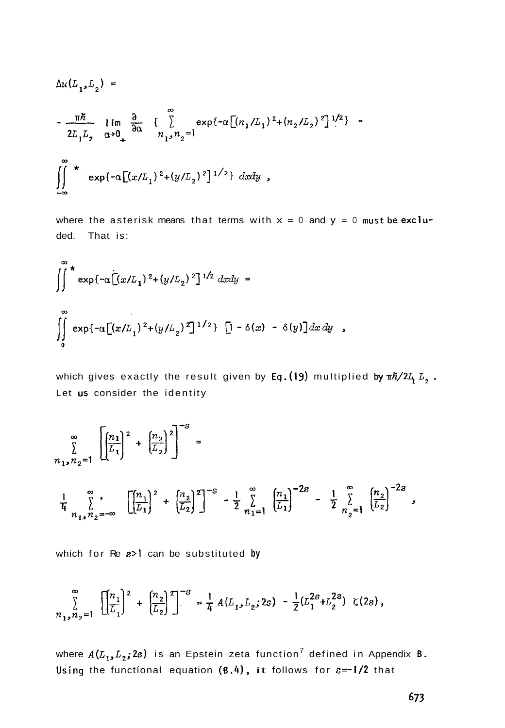$$
\Delta u(L_1, L_2) =
$$
  
\n
$$
-\frac{\pi \hbar}{2L_1 L_2} \lim_{\alpha \to 0_+} \frac{\partial}{\partial \alpha} \left\{ \sum_{n_1, n_2=1}^{\infty} \exp\{-\alpha \left[ (n_1/L_1)^2 + (n_2/L_2)^2 \right]^{1/2} \} -
$$
  
\n
$$
\iint_{-\infty}^{\infty} \exp\{-\alpha \left[ (x/L_1)^2 + (y/L_2)^2 \right]^{1/2} \} dx dy,
$$

where the asterisk means that terms with  $x = 0$  and  $y = 0$  must be excluded. That is:

$$
\int_{0}^{\infty} \exp\{-\alpha \Big[ (x/L_1)^2 + (y/L_2)^2 \Big]^{1/2} dx dy =
$$
  

$$
\int_{0}^{\infty} \exp\{-\alpha \Big[ (x/L_1)^2 + (y/L_2)^2 \Big]^{1/2} \} \Big[ -\delta(x) - \delta(y) \Big] dx dy,
$$

which gives exactly the result given by Eq. (19) multiplied by  $\pi \hslash /2L_1 L_2$ . Let us consider the identity

$$
\sum_{n_1, n_2=1}^{\infty} \left[ \left( \frac{n_1}{L_1} \right)^2 + \left( \frac{n_2}{L_2} \right)^2 \right]^{-s} =
$$
\n
$$
\frac{1}{4} \sum_{n_1, n_2=-\infty}^{\infty} \left[ \left( \frac{n_1}{L_1} \right)^2 + \left( \frac{n_2}{L_2} \right)^2 \right]^{-s} - \frac{1}{2} \sum_{n_1=1}^{\infty} \left( \frac{n_1}{L_1} \right)^{-2s} - \frac{1}{2} \sum_{n_2=1}^{\infty} \left( \frac{n_2}{L_2} \right)^{-2s},
$$

which for Re s>1 can be substituted by

$$
\sum_{n_1,n_2=1}^{\infty} \left[ \left( \frac{n_1}{L_1} \right)^2 + \left( \frac{n_2}{L_2} \right)^2 \right]^{-8} = \frac{1}{4} A(L_1, L_2; 2s) - \frac{1}{2} (L_1^{2s} + L_2^{2s}) \zeta(2s),
$$

where  $A(L_1, L_2; 2s)$  is an Epstein zeta function<sup>7</sup> defined in Appendix **B.** Using the functional equation  $(8.4)$ , it follows for  $s=-1/2$  that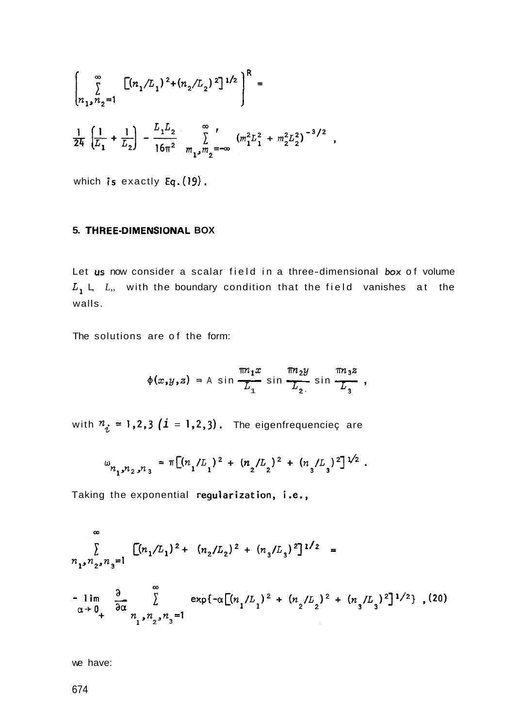$$
\left[\sum_{n_1,n_2=1}^{\infty} \left[ (n_1/L_1)^2 + (n_2/L_2)^2 \right]^{1/2} \right]^R =
$$
  

$$
\frac{1}{24} \left[ \frac{1}{L_1} + \frac{1}{L_2} \right] - \frac{L_1 L_2}{16\pi^2} \sum_{m_1,m_2=-\infty}^{\infty} \left( m_1^2 L_1^2 + m_2^2 L_2^2 \right)^{-3/2},
$$

which is exactly  $Eq. (19)$ .

## 5. THREE-DIMENSIONAL BOX

Let us now consider a scalar field in a three-dimensional box of volume  $L_1$ , L, L, with the boundary condition that the field vanishes at the walls.

The solutions are of the form:

$$
\phi(x,y,z) = A \sin \frac{\pi n_1 x}{L_1} \sin \frac{\pi n_2 y}{L_2} \sin \frac{\pi n_3 z}{L_3},
$$

with  $n_i = 1,2,3$  (i = 1,2,3). The eigenfrequenciec are

$$
\omega_{n_1,n_2,n_3} = \pi \left[ (n_1/L_1)^2 + (n_2/L_2)^2 + (n_3/L_3)^2 \right]^{1/2}.
$$

Taking the exponential regularization, i.e.,

$$
\sum_{n_1, n_2, n_3=1}^{\infty} \left[ (n_1/L_1)^2 + (n_2/L_2)^2 + (n_3/L_3)^2 \right]^{1/2} =
$$
  
-  $\lim_{\alpha \to 0_+} \frac{\partial}{\partial \alpha} \sum_{n_1, n_2, n_3=1}^{\infty} \exp\left\{-\alpha \left[ (n_1/L_1)^2 + (n_2/L_2)^2 + (n_3/L_3)^2 \right]^{1/2} \right\}, (20)$ 

we have: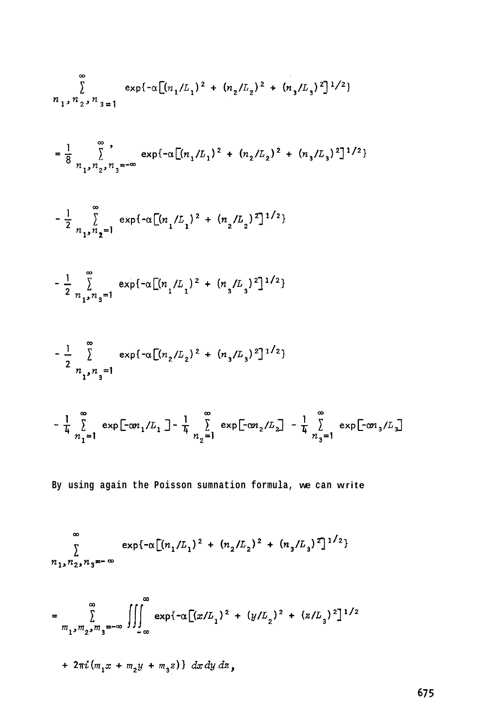$$
\sum_{n_{1}, n_{2}, n_{3}=1}^{\infty} \exp\{-\alpha \left[ (n_{1}/L_{1})^{2} + (n_{2}/L_{2})^{2} + (n_{3}/L_{3})^{2} \right]^{1/2} \}
$$
\n
$$
= \frac{1}{8} \sum_{n_{1}, n_{2}, n_{3}=0}^{\infty} \exp\{-\alpha \left[ (n_{1}/L_{1})^{2} + (n_{2}/L_{2})^{2} + (n_{3}/L_{3})^{2} \right]^{1/2} \}
$$
\n
$$
- \frac{1}{2} \sum_{n_{1}, n_{2}=1}^{\infty} \exp\{-\alpha \left[ (n_{1}/L_{1})^{2} + (n_{2}/L_{2})^{2} \right]^{1/2} \}
$$
\n
$$
- \frac{1}{2} \sum_{n_{1}, n_{2}=1}^{\infty} \exp\{-\alpha \left[ (n_{1}/L_{1})^{2} + (n_{3}/L_{3})^{2} \right]^{1/2} \}
$$
\n
$$
- \frac{1}{2} \sum_{n_{1}, n_{3}=1}^{\infty} \exp\{-\alpha \left[ (n_{2}/L_{2})^{2} + (n_{3}/L_{3})^{2} \right]^{1/2} \}
$$
\n
$$
- \frac{1}{4} \sum_{n_{1}=1}^{\infty} \exp\left[ -\alpha n_{1}/L_{1} \right] - \frac{1}{4} \sum_{n_{2}=1}^{\infty} \exp\left[ -\alpha n_{2}/L_{2} \right] - \frac{1}{4} \sum_{n_{3}=1}^{\infty} \exp\left[ -\alpha n_{3}/L_{3} \right]
$$
\nBy using again the Poisson summation formula, we can write\n
$$
\sum_{n_{1}, n_{2}, n_{3} = -\infty}^{\infty} \exp\{-\alpha \left[ (n_{1}/L_{1})^{2} + (n_{2}/L_{2})^{2} + (n_{3}/L_{3})^{2} \right]^{1/2} \}
$$

$$
= \sum_{m_1, m_2, m_3 = -\infty}^{\infty} \iiint_{-\infty}^{\infty} \exp\{-\alpha \left[ (x/L_1)^2 + (y/L_2)^2 + (z/L_3)^2 \right]^{1/2} + 2\pi i (m_1 x + m_2 y + m_3 z) \} dx dy dz,
$$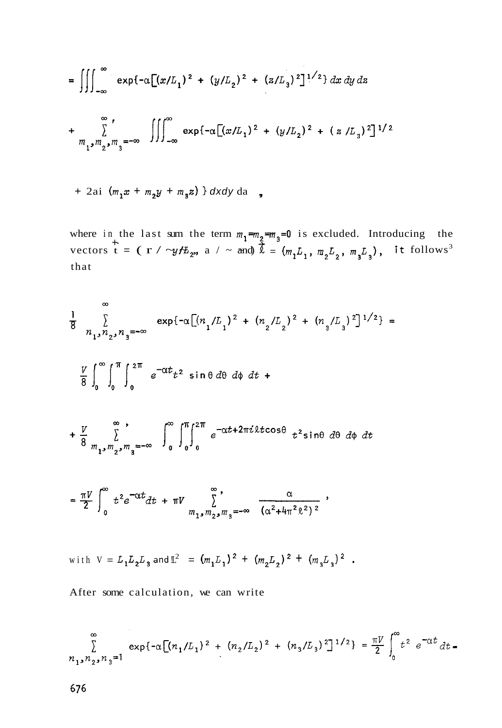$$
= \iiint_{-\infty}^{\infty} \exp\{-\alpha \left[ (x/L_1)^2 + (y/L_2)^2 + (z/L_3)^2 \right]^{1/2} \} dx dy dz
$$
  
+ 
$$
\sum_{m_1, m_2, m_3 = -\infty}^{\infty} \iiint_{-\infty}^{\infty} \exp\{-\alpha \left[ (x/L_1)^2 + (y/L_2)^2 + (z/L_3)^2 \right]^{1/2} \}
$$

+ 2ai  $(m_1x + m_2y + m_3z)$  } dxdy da

where in the last sum the term  $m_1 = m_2 = m_3 = 0$  is excluded. Introducing the vectors  $\overline{t} = (\tau / \neg y / E_{222})$  a  $\overline{y} = (m_1 L_1, m_2 L_2, m_3 L_3)$ , it follows<sup>3</sup> that

$$
\frac{1}{8} \int_{n_1, n_2, n_3 = -\infty}^{\infty} \exp\{-\alpha \left[ (n_1/L_1)^2 + (n_2/L_2)^2 + (n_3/L_3)^2 \right]^{1/2} \} =
$$
  

$$
\frac{V}{8} \int_0^{\infty} \int_0^{\pi} \int_0^{2\pi} e^{-\alpha t} t^2 \sin \theta d\theta d\phi dt +
$$
  

$$
+ \frac{V}{8} \int_{m_1, m_2, m_3 = -\infty}^{\infty} \int_0^{\infty} \int_0^{\pi} \int_0^{2\pi} e^{-\alpha t + 2\pi i \lambda t \cos \theta} t^2 \sin \theta d\theta d\phi dt
$$
  

$$
= \frac{\pi V}{2} \int_0^{\infty} t^2 e^{-\alpha t} dt + \pi V \int_{m_1, m_2, m_3 = -\infty}^{\infty} \frac{\alpha}{(\alpha^2 + 4\pi^2 \ell^2)^2},
$$

with V = 
$$
L_1 L_2 L_3
$$
 and  $L^2$  =  $(m_1 L_1)^2 + (m_2 L_2)^2 + (m_3 L_3)^2$ .

After some calculation, we can write

$$
\sum_{n_1, n_2, n_3=1}^{\infty} \exp\{-\alpha \left[ (n_1/L_1)^2 + (n_2/L_2)^2 + (n_3/L_3)^2 \right]^{1/2} \} = \frac{\pi V}{2} \int_0^{\infty} t^2 e^{-\alpha t} dt
$$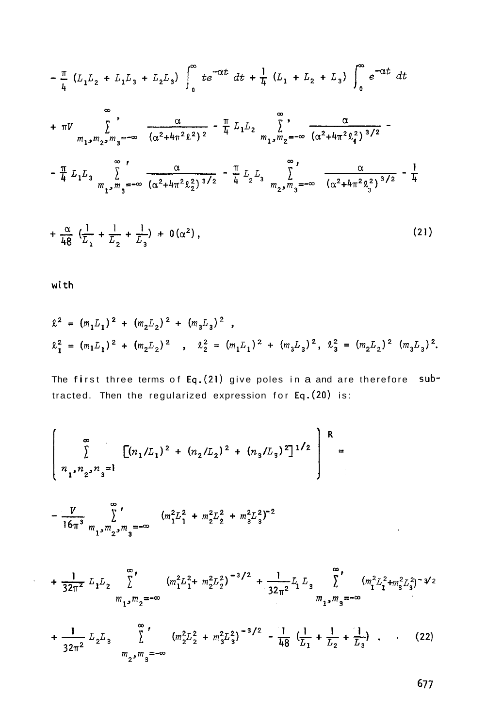$$
-\frac{\pi}{4} (L_1 L_2 + L_1 L_3 + L_2 L_3) \int_0^{\infty} te^{-\alpha t} dt + \frac{1}{4} (L_1 + L_2 + L_3) \int_0^{\infty} e^{-\alpha t} dt
$$
  
+  $\pi V \sum_{m_1, m_2, m_3 = -\infty}^{\infty} \frac{\alpha}{(\alpha^2 + 4\pi^2 \ell^2)^2} - \frac{\pi}{4} L_1 L_2 \sum_{m_1, m_2 = -\infty}^{\infty} \frac{\alpha}{(\alpha^2 + 4\pi^2 \ell_4^2)^{3/2}} - \frac{\pi}{4} L_1 L_3 \sum_{m_1, m_3 = -\infty}^{\infty} \frac{\alpha}{(\alpha^2 + 4\pi^2 \ell_4^2)^{3/2}} - \frac{\pi}{4} L_2 L_3 \sum_{m_2, m_3 = -\infty}^{\infty} \frac{\alpha}{(\alpha^2 + 4\pi^2 \ell_3^2)^{3/2}} - \frac{1}{4}$   
+  $\frac{\alpha}{48} (\frac{1}{L_1} + \frac{1}{L_2} + \frac{1}{L_3}) + 0(\alpha^2),$  (21)

with

 $\ddot{\phantom{1}}$ 

$$
\begin{array}{lcl}\n\ell^2 &=& (m_1L_1)^2 + (m_2L_2)^2 + (m_3L_3)^2 \ , \\
\ell_1^2 &=& (m_1L_1)^2 + (m_2L_2)^2 \ , \quad \ell_2^2 &=& (m_1L_1)^2 + (m_3L_3)^2 \ , \quad \ell_3^2 &=& (m_2L_2)^2 \ (m_3L_3)^2.\n\end{array}
$$

The first three terms of Eq. (21) give poles in a and are therefore subtracted. Then the regularized expression for Eq. (20) is:

$$
\left[\begin{array}{c}\n\infty \\
\sum_{1,n_2,n_3=1}^{n_1} \left[ (n_1/L_1)^2 + (n_2/L_2)^2 + (n_3/L_3)^2 \right]^{1/2} \right]^R = \n\end{array}
$$

$$
-\frac{V}{16\pi^3} \sum_{m_1,m_2,m_3=-\infty}^{\infty} (m_1^2 L_1^2 + m_2^2 L_2^2 + m_3^2 L_3^2)^{-2}
$$

$$
+\frac{1}{32\pi^2} L_1 L_2 \sum_{m_1, m_2 = -\infty}^{\infty} (m_1^2 L_1^2 + m_2^2 L_2^2)^{-3/2} + \frac{1}{32\pi^2} L_1 L_3 \sum_{m_1, m_3 = -\infty}^{\infty} (m_1^2 L_1^2 + m_3^2 L_3^2)^{-3/2}
$$

$$
+\frac{1}{32\pi^2} L_2 L_3 \sum_{m_2, m_3=-\infty}^{\infty} (m_2^2 L_2^2 + m_3^2 L_3^2)^{-3/2} - \frac{1}{48} (\frac{1}{L_1} + \frac{1}{L_2} + \frac{1}{L_3})
$$
 (22)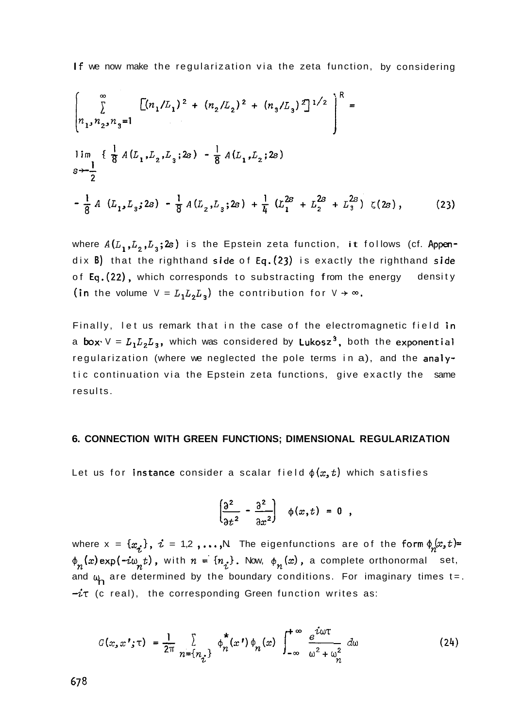If we now make the regularization via the zeta function, by considering

$$
\left[\sum_{n_1, n_2, n_3=1}^{\infty} \left[ (n_1/L_1)^2 + (n_2/L_2)^2 + (n_3/L_3)^2 \right]^{1/2} \right]^R =
$$
\n
$$
\lim_{s \to -\frac{1}{2}} \left\{ \frac{1}{8} A(L_1, L_2, L_3; 2s) - \frac{1}{8} A(L_1, L_2; 2s) \right\}
$$
\n
$$
-\frac{1}{8} A(L_1, L_3; 2s) - \frac{1}{8} A(L_2, L_3; 2s) + \frac{1}{4} (L_1^{2s} + L_2^{2s} + L_3^{2s}) \zeta(2s), \qquad (23)
$$

where  $A(L_1,L_2,L_3;2s)$  is the Epstein zeta function, it follows (cf. Appendix **B)** that the righthand side of **Eq.(23)** is exactly the righthand side of Eq. (22), which corresponds to substracting from the energy density (in the volume  $V = L_1 L_2 L_3$ ) the contribution for  $V \rightarrow \infty$ .

Finally, let us remark that in the case of the electromagnetic field in a **box**  $V = L_1 L_2 L_3$ , which was considered by Lukosz<sup>3</sup>, both the exponential regularization (where we neglected the pole terms in a), and the analytic continuation via the Epstein zeta functions, give exactly the same results.

### **6. CONNECTION WITH GREEN FUNCTIONS; DIMENSIONAL REGULARIZATION**

Let us for **instance** consider a scalar field  $\phi(x,t)$  which satisfies

$$
\left(\frac{\partial^2}{\partial t^2} - \frac{\partial^2}{\partial x^2}\right) \phi(x,t) = 0 ,
$$

where  $x = \{x_i\}$ ,  $i = 1,2, ..., N$  The eigenfunctions are of the form  $\phi_n(x, t)$ =  $\phi_n(x)$ exp( $-i\omega_n t$ ), with  $n = \{n_i\}$ . Now,  $\phi_n(x)$ , a complete orthonormal set, and  $\omega$  are determined by the boundary conditions. For imaginary times t=.  $-i\tau$  (c real), the corresponding Green function writes as:

$$
G(x, x'; \tau) = \frac{1}{2\pi} \sum_{n = \{n_{\tau}\}} \phi_n^*(x') \phi_n(x) \int_{-\infty}^{+\infty} \frac{e^{i\omega \tau}}{\omega^2 + \omega_n^2} d\omega \qquad (24)
$$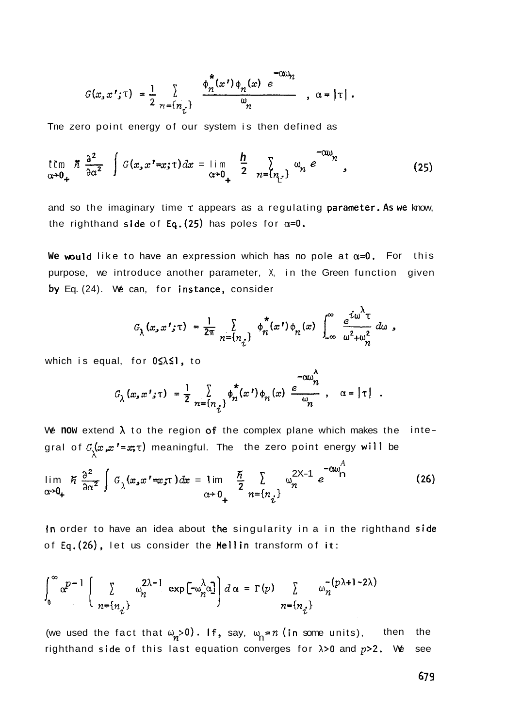$$
G(x, x'; \tau) = \frac{1}{2} \sum_{n = \{n_{\tau}\}} \frac{\phi_n^*(x') \phi_n(x) e^{-\alpha \omega_n}}{\omega_n}, \alpha = |\tau|.
$$

Tne zero point energy of our system is then defined as

The zero point energy of our system is then defined as  
\n
$$
\lim_{\alpha \to 0_{+}} \frac{a^{2}}{a \alpha^{2}} \int G(x, x' = x; \tau) dx = \lim_{\alpha \to 0_{+}} \frac{h}{2} \sum_{n= {n \choose n}!} \omega_{n} e^{-\alpha w_{n}}
$$
\n(25)

and so the imaginary time  $\tau$  appears as a regulating parameter. As we know, the righthand side of Eq. (25) has poles for  $\alpha=0$ .

We would like to have an expression which has no pole at  $\alpha=0$ . For this purpose, we introduce another parameter, X, in the Green function given by Eq. (24). We can, for instance, consider

$$
G_{\lambda}(x,x';\tau) = \frac{1}{2\pi} \sum_{n=\{n_i\}} \phi_n^{\star}(x') \phi_n(x) \int_{-\infty}^{\infty} \frac{e^{i\omega^{\lambda}\tau}}{\omega^2 + \omega_n^2} d\omega,
$$

 $\lambda$ 

which is equal, for  $0 \leq \lambda \leq 1$ , to

$$
G_{\lambda}(x, x'; \tau) = \frac{1}{2} \sum_{n=\{n_i\}} \phi_n^{\star}(x') \phi_n(x) \stackrel{e^{-\alpha \omega_n^{\prime}}}{\omega_n}, \quad \alpha = |\tau|.
$$

We now extend  $\lambda$  to the region of the complex plane which makes the integral of  $\mathcal{G}_{\lambda}(\bm{x} ,\bm{x} ^{\prime}$ = $\bm{x} ;$ t) meaningful. The the zero point energy will be

$$
\lim_{\alpha \to 0_+} \tilde{n} \frac{\partial^2}{\partial \alpha^2} \int G_\lambda(x, x' = x; \tau) dx = \lim_{\alpha \to 0_+} \frac{\tilde{n}}{2} \sum_{n = \{n_i\}} w_n^{2X-1} e^{-\alpha w_n^A}
$$
(26)

In order to have an idea about **the** singularity in a in the righthand side of Eq.(26), let us consider the Mellin transform of it:

$$
\int_0^\infty \alpha^{p-1} \left( \sum_{n=\{n_i\}} \alpha_n^{2\lambda-1} \exp[-\omega_n^{\lambda} \alpha] \right) d\alpha = \Gamma(p) \sum_{n=\{n_i\}} \omega_n^{-(p\lambda+1-2\lambda)}
$$

(we used the fact that  $\omega_n > 0$ ). If, say,  $\omega_n = n$  (in some units), then the righthand side of this last equation converges for X>O and *p>?.* We see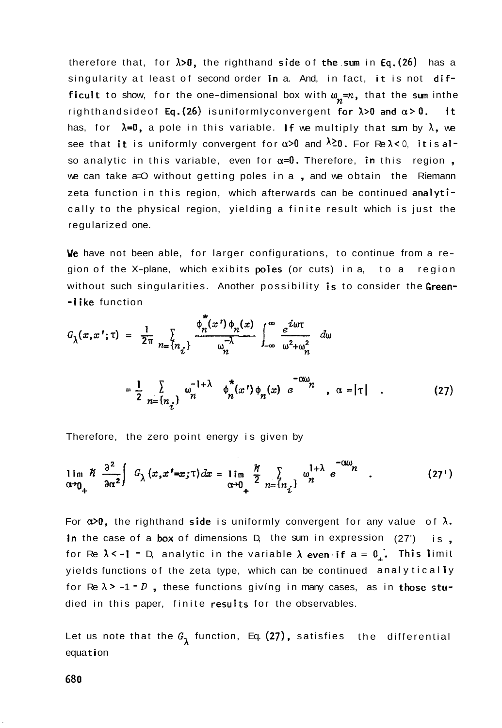therefore that, for  $\lambda > 0$ , the righthand side of the sum in Eq.(26) has a singularity at least of second order in a. And, in fact, it is not difficult to show, for the one-dimensional box with  $\omega_n=n$ , that the sum inthe righthandsideof Eq.(26) isuniformlyconvergent for  $\lambda > 0$  and  $\alpha > 0$ . It has, for  $\lambda=0$ , a pole in this variable. If we multiply that sum by  $\lambda$ , we see that it is uniformly convergent for  $\alpha > 0$  and  $\lambda \ge 0$ . For Re  $\lambda < 0$ , it is also analytic in this variable, even for  $\alpha=0$ . Therefore, in this region, we can take a=O without getting poles in a, and we obtain the Riemann zeta function in this region, which afterwards can be continued analytically to the physical region, yielding a finite result which is just the regularized one.

We have not been able, for larger configurations, to continue from a region of the X-plane, which exibits poles (or cuts) in a, to a region without such singularities. Another possibility is to consider the Green--1ike function

$$
G_{\lambda}(x, x'; \tau) = \frac{1}{2\pi} \sum_{n=\lbrace n_{\vec{i}} \rbrace} \frac{\phi_n^*(x') \phi_n(x)}{\omega_n^{-\lambda}} \int_{-\infty}^{\infty} \frac{e^{i\omega \tau}}{\omega^2 + \omega_n^2} d\omega
$$

$$
= \frac{1}{2} \sum_{n=\lbrace n_{\vec{i}} \rbrace} \omega_n^{-1 + \lambda} \phi_n^*(x') \phi_n(x) e^{-\sigma \omega_n}, \quad \alpha = |\tau| . \tag{27}
$$

Therefore, the zero point energy is given by

$$
\lim_{\alpha \to 0_+} \frac{\hbar^2}{\partial \alpha^2} \int G_\lambda(x, x' = x; \tau) dx = \lim_{\alpha \to 0_+} \frac{\hbar}{2} \sum_{n = \{n_i\}} \omega_n^{1 + \lambda} e^{-\alpha \omega_n}
$$
 (27')

For  $x>0$ , the righthand side is uniformly convergent for any value of  $\lambda$ . In the case of a box of dimensions D, the sum in expression (27') is , for Re  $\lambda$ <-1 - D, analytic in the variable  $\lambda$  even if  $a = 0$ . This limit yields functions of the zeta type, which can be continued anal yt ical **1** y for Re  $\lambda$  > -1 - D, these functions giving in many cases, as in those studied in this paper, finite results for the observables.

Let us note that the  $G_1$  function, Eq. (27), satisfies the differential equation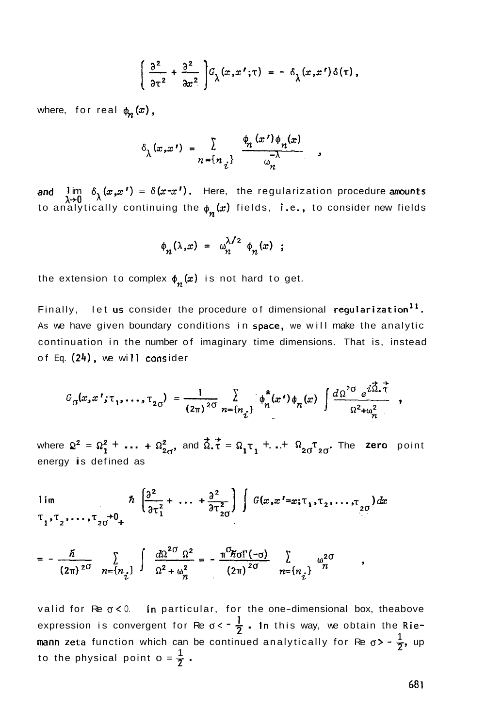$$
\left(\frac{\partial^2}{\partial \tau^2} + \frac{\partial^2}{\partial x^2}\right) G_\lambda(x, x'; \tau) = - \delta_\lambda(x, x') \delta(\tau),
$$

where, for real  $\phi_n(x)$ ,

$$
\delta_{\lambda}(x,x') = \sum_{n=\{n_{i}\}} \frac{\phi_{n}(x')\phi_{n}(x)}{\phi_{n}^{-\lambda}} ,
$$

and  $\lim_{\lambda \to 0} \delta_{\lambda}(x, x') = \delta(x - x')$ . Here, the regularization procedure amounts<br>to analytically continuing the  $\phi_n(x)$  fields, **i.e.,** to consider new fields

$$
\phi_n(\lambda,x) = \omega_n^{\lambda/2} \phi_n(x) ;
$$

the extension to complex  $\phi_n(x)$  is not hard to get.

Finally, let us consider the procedure of dimensional regularization<sup>11</sup>. As we have given boundary conditions in space, we will make the analytic continuation in the number of imaginary time dimensions. That is, instead of Eq. **(24),** we wi 11 cons ider

$$
G_{\sigma}(x,x';\tau_1,\ldots,\tau_{2\sigma}) = \frac{1}{(2\pi)^{2\sigma}} \sum_{n=\{n_{\vec{i}}\}} \phi_n^*(x') \phi_n(x) \int \frac{d\Omega^{2\sigma} e^{i\vec{\Omega}\cdot\vec{\tau}}}{\Omega^2 + \omega_n^2} ,
$$

where  $\Omega^2 = \Omega_1^2 + \ldots + \Omega_{2\sigma}^2$ , and  $\overrightarrow{\Omega} \cdot \overrightarrow{\tau} = \Omega_1 \tau_1 + \ldots + \Omega_{2\sigma} \tau_{2\sigma}$ . The zero point energy is defined as

$$
\lim_{\tau_1, \tau_2, \ldots, \tau_{2\sigma} \to 0_+} \hbar \left( \frac{\partial^2}{\partial \tau_1^2} + \ldots + \frac{\partial^2}{\partial \tau_{2\sigma}^2} \right) \int G(x, x' = x; \tau_1, \tau_2, \ldots, \tau_{2\sigma}) dx
$$

$$
= -\frac{\overline{n}}{(2\pi)^{2\sigma}} \sum_{n=\{n_{\overline{i}}\}} \int \frac{d\Omega^{2\sigma} \Omega^2}{\Omega^2 + \omega_n^2} = -\frac{\pi^{\sigma} \overline{n} \sigma \Gamma(-\sigma)}{(2\pi)^{2\sigma}} \sum_{n=\{n_{\overline{i}}\}} \omega_n^{2\sigma}
$$

valid for Re  $\sigma$  < 0. In particular, for the one-dimensional box, theabove expression is convergent for Re  $\sigma < -\frac{1}{2}$ . In this way, we obtain the Rie**mann zeta** function which can be continued analytically for Re  $\sigma$ > -  $\frac{1}{2}$ , up to the physical point  $o = \frac{1}{2}$ .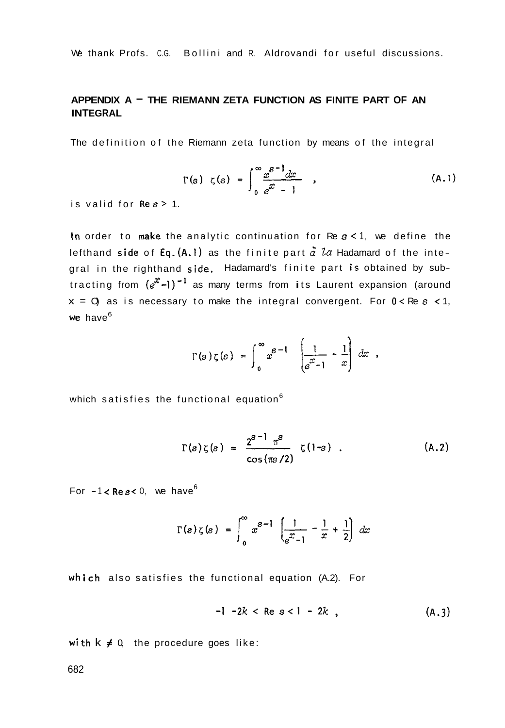We thank Profs. C.G. Bollini and R. Aldrovandi for useful discussions.

# **APPENDIX A** - **THE RIEMANN ZETA FUNCTION AS FINITE PART OF AN INTEGRAL**

The definition of the Riemann zeta function by means of the integral

$$
\Gamma(s) \quad \zeta(s) = \int_0^\infty \frac{x^{s-1} dx}{e^x - 1} \quad , \tag{A.1}
$$

is valid for **Res>** 1.

In order to make the analytic continuation for Re  $s < 1$ , we define the lefthand side of Eq.(A.1) as the finite part  $\tilde{a}$  La Hadamard of the integral in the righthand side. Hadamard's finite part is obtained by subtracting from  $(e^{x}-1)^{-1}$  as many terms from its Laurent expansion (around  $x = 0$  as is necessary to make the integral convergent. For  $0 < Re \, s < 1$ , we have<sup>6</sup>

$$
\Gamma(s)\zeta(s) = \int_0^\infty x^{s-1} \left[ \frac{1}{e^x - 1} - \frac{1}{x} \right] dx,
$$

which satisfies the functional equation<sup>6</sup>

$$
\Gamma(s)\zeta(s) = \frac{2^{s-1}\pi^s}{\cos(\pi s/2)}\zeta(1-s) . \qquad (A.2)
$$

For  $-1 <$  Re s < 0, we have<sup>6</sup>

$$
\Gamma(s) \zeta(s) = \int_0^\infty x^{s-1} \left[ \frac{1}{e^x - 1} - \frac{1}{x} + \frac{1}{2} \right] dx
$$

which also satisfies the functional equation (A.2). For

$$
-1 - 2k < Re \, s < 1 - 2k \tag{A.3}
$$

with  $k \neq 0$ , the procedure goes like: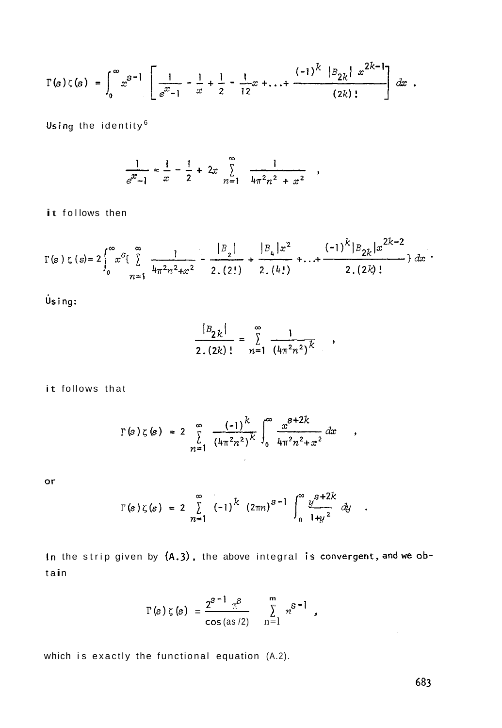$$
\Gamma(s)\zeta(s) = \int_0^\infty x^{s-1} \left[ \frac{1}{e^{x-1}} - \frac{1}{x} + \frac{1}{2} - \frac{1}{12}x + \ldots + \frac{(-1)^k |B_{2k}| x^{2k-1}}{(2k)!} \right] dx.
$$

Using the identity<sup>6</sup>

$$
\frac{1}{e^x - 1} = \frac{1}{x} - \frac{1}{2} + 2x \sum_{n=1}^{\infty} \frac{1}{4\pi^2 n^2 + x^2}
$$

it follows then

$$
\Gamma(s) \zeta(s) = 2 \int_0^\infty x^s \left\{ \sum_{n=1}^\infty \frac{1}{4\pi^2 n^2 + x^2} - \frac{|B_{2}|}{2.(2!)} + \frac{|B_{4}|x^2}{2.(4!)} + \ldots + \frac{(-1)^k |B_{2k}|x^{2k-2}}{2.(2k)!} \right\} dx
$$

Using:

$$
\frac{|B_{2k}|}{2.(2k)!} = \sum_{n=1}^{\infty} \frac{1}{(4\pi^2 n^2)^k},
$$

 $\bullet$ 

 $\pmb{\tau}$ 

 $\ddot{\phantom{a}}$ 

it follows that

$$
\Gamma(s)\zeta(s) = 2 \sum_{n=1}^{\infty} \frac{(-1)^k}{(4\pi^2 n^2)^k} \int_0^{\infty} \frac{x^{s+2k}}{4\pi^2 n^2 + x^2} dx
$$

 $or$ 

$$
\Gamma(s)\zeta(s) = 2\sum_{n=1}^{\infty} (-1)^k (2\pi n)^{s-1} \int_0^{\infty} \frac{y^{s+2k}}{1+y^2} dy
$$

In the strip given by (A.3), the above integral is convergent, and we ob $tan$ 

$$
\Gamma(s) \zeta(s) = \frac{2^{s-1} \pi^s}{\cos (as/2)} \sum_{n=1}^{m} n^{s-1}
$$

which is exactly the functional equation (A.2).

 $\sim 10^{-11}$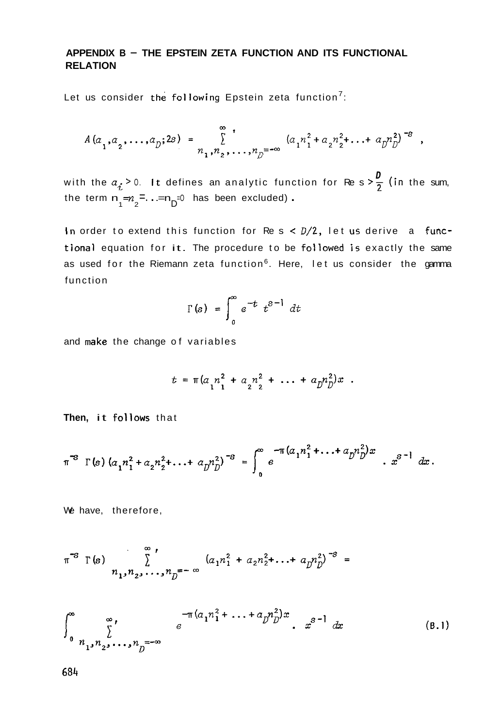## **APPENDIX B** - **THE EPSTEIN ZETA FUNCTION AND ITS FUNCTIONAL RELATION**

Let us consider the following Epstein zeta function<sup>7</sup>:

$$
A(a_1, a_2, \ldots, a_p; 2s) = \sum_{n_1, n_2, \ldots, n_p = -\infty}^{\infty} (a_1 n_1^2 + a_2 n_2^2 + \ldots + a_p n_p^2)^{-s},
$$

with the  $a_{\sigma}$  > 0. It defines an analytic function for Re s >  $\frac{D}{2}$  (in the sum, the term  $n_1 = n_2 = ... = n_D = 0$  has been excluded).

In order to extend this function for Re s < D/2, let **us** derive a functional equation for it. The procedure to be fotlowed is exactly the same as used for the Riemann zeta function<sup>6</sup>. Here, let us consider the gamma function

$$
\Gamma(s) = \int_0^\infty e^{-t} t^{s-1} dt
$$

and make the change of variables

$$
t = \pi (a_{1} n_{1}^{2} + a_{2} n_{2}^{2} + \dots + a_{D} n_{D}^{2}) x .
$$

**Then,** it follows that

$$
\pi^3 \Gamma(s) (a_1 n_1^2 + a_2 n_2^2 + \ldots + a_p n_p^2)^{-s} = \int_0^\infty e^{-\pi (a_1 n_1^2 + \ldots + a_p n_p^2)x} \ldots x^{s-1} dx.
$$

We have, therefore,

$$
\pi^{-s} \Gamma(s) \sum_{n_1, n_2, \ldots, n_D = -\infty}^{\infty} (a_1 n_1^2 + a_2 n_2^2 + \ldots + a_D n_D^2)^{-s} =
$$

$$
\int_{0}^{\infty} \sum_{n_{1}, n_{2}, \ldots, n_{D}^{=-\infty}}^{\infty} e^{-\pi (a_{1}n_{1}^{2} + \ldots + a_{D}n_{D}^{2})x} . x^{s-1} dx
$$
 (B.1)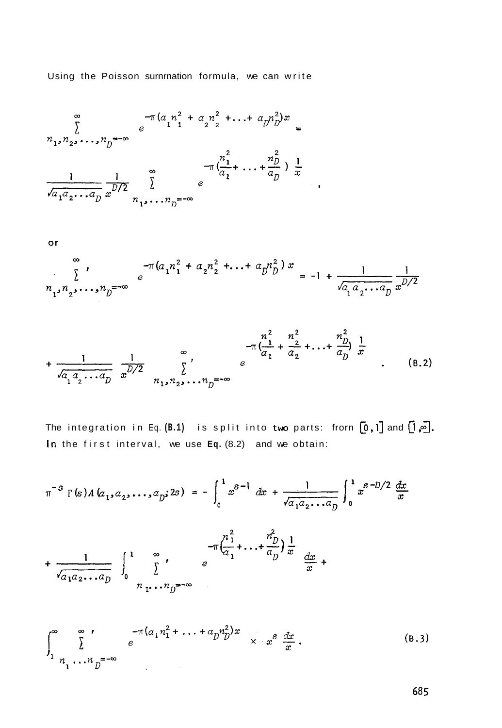Using the Poisson surnrnation formula, we can write

$$
\sum_{\substack{n_1, n_2, \dots, n_D = -\infty}}^{\infty} e^{-\pi (a_1 n_1^2 + a_2 n_2^2 + \dots + a_D n_D^2)x} =
$$
  

$$
\frac{1}{\sqrt{a_1 a_2 \dots a_D}} \sum_{x=1}^{\infty} e^{-\pi (\frac{n_1^2}{a_1} + \dots + \frac{n_D^2}{a_D}) \frac{1}{x}},
$$

or

$$
\sum_{n_1, n_2, \dots, n_D = -\infty}^{\infty} e^{-\pi (a_1 n_1^2 + a_2 n_2^2 + \dots + a_D n_D^2) x} = -1 + \frac{1}{\sqrt{a_1 a_2 \dots a_D}} \frac{1}{x^{D/2}}
$$

$$
+\frac{1}{\sqrt{a_1 a_2 \cdots a_D}} \frac{1}{x^{D/2}} \sum_{n_1, n_2, \ldots n_D = -\infty}^{\infty} e^{-\pi \left(\frac{n^2}{a_1} + \frac{n^2}{a_2} + \ldots + \frac{n^2}{a_D}\right) \frac{1}{x}}.
$$
 (B.2)

The integration in Eq. (B.1) is split into two parts: frorn  $[0,1]$  and  $[1,\overline{\infty}]$ . In the first interval, we use **Eq.** (8.2) and we obtain:

$$
\pi^{-s} \Gamma(s) A (a_1, a_2, \dots, a_p; 2s) = - \int_0^1 x^{s-1} dx + \frac{1}{\sqrt{a_1 a_2 \dots a_p}} \int_0^1 x^{s-D/2} \frac{dx}{x}
$$
  
+ 
$$
\frac{1}{\sqrt{a_1 a_2 \dots a_p}} \int_0^1 \sum_{r=1}^\infty t e^{-\pi \left(\frac{n_1^2}{a_1} + \dots + \frac{n_p^2}{a_p}\right)} \frac{1}{x} \frac{dx}{x} +
$$

$$
\int_{1}^{\infty} \sum_{n_1, \ldots, n_D = -\infty}^{\infty} e^{-\pi (a_1 n_1^2 + \ldots + a_D n_D^2)x} \times x^3 \frac{dx}{x}.
$$
 (B.3)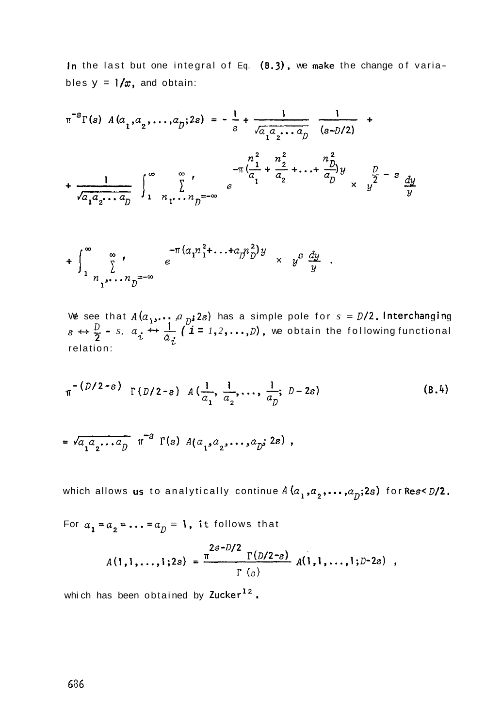In the last but one integral of Eq. **(8.3),** we make the change of variables  $y = 1/x$ , and obtain:

$$
\pi^{-s}\Gamma(s) \quad A(a_1, a_2, \dots, a_p; 2s) = -\frac{1}{s} + \frac{1}{\sqrt{a_1 a_2 \dots a_p}} \frac{1}{(s - D/2)} + \frac{1}{\sqrt{a_1 a_2 \dots a_p}} \int_{1}^{\infty} \sum_{n_1, \dots, n_p = -\infty}^{\infty} e^{-\pi (\frac{1}{a_1} + \frac{n_2}{a_2} + \dots + \frac{n_p}{a_p})y} \times \frac{p}{y^2} - s \frac{dy}{y}
$$

$$
+ \int_{1}^{\infty} \int_{n_1, \dots, n_D}^{\infty} e^{-\pi (a_1 n_1^2 + \dots + a_D n_D^2)} \times y^s \frac{dy}{y} .
$$

We see that  $A(a_1, \ldots, a_{\overline{D}}; 2s)$  has a simple pole for  $s = D/2$ . Interchanging  $S \leftrightarrow \frac{D}{2}$  - *S,*  $a_i \leftrightarrow \frac{1}{2}$ ,  $(i = 1, 2, ..., D)$ , we obtain the following functional relation:  $\frac{1}{i}$ <sup>'</sup>

$$
_{\pi}
$$
  $\left(\frac{D}{2-s}\right)$   $\Gamma\left(\frac{D}{2-s}\right)$   $A\left(\frac{1}{a_1}, \frac{1}{a_2}, \ldots, \frac{1}{a_D}; D-2s\right)$  (B.4)

$$
= \sqrt{a_1 a_2 \cdots a_p} \pi^{-s} \Gamma(s) A(a_1, a_2, \cdots, a_p; 2s) ,
$$

which allows us to analytically continue  $A(a_1, a_2, \ldots, a_p; 2s)$  for Res<  $D/2$ .

For  $a_1 = a_2 = ... = a_p = 1$ , it follows that

$$
A(1,1,\ldots,1;2s) = \frac{\pi^{2s-D/2} \Gamma(D/2-s)}{\Gamma(s)} A(1,1,\ldots,1;D-2s) ,
$$

which has been obtained by Zucker<sup>12</sup>.